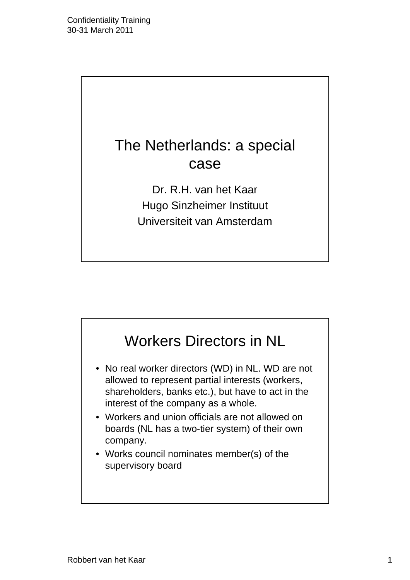

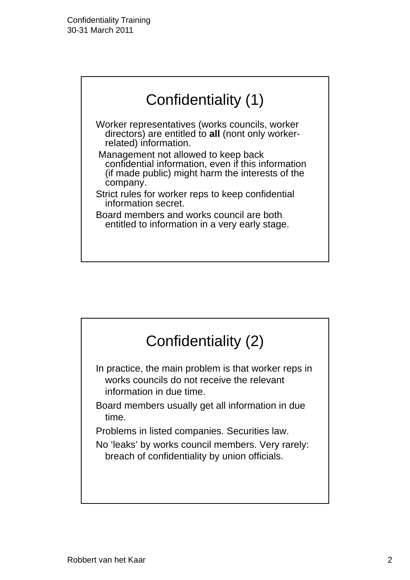

![](_page_1_Picture_2.jpeg)